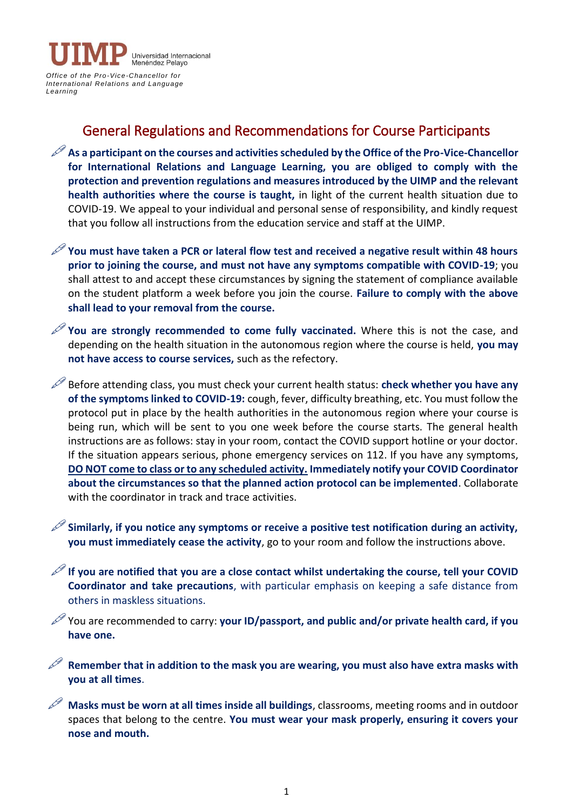

## General Regulations and Recommendations for Course Participants

As a participant on the courses and activities scheduled by the Office of the Pro-Vice-Chancellor **for International Relations and Language Learning, you are obliged to comply with the protection and prevention regulations and measures introduced by the UIMP and the relevant health authorities where the course is taught,** in light of the current health situation due to COVID-19. We appeal to your individual and personal sense of responsibility, and kindly request that you follow all instructions from the education service and staff at the UIMP.

**You must have taken a PCR or lateral flow test and received a negative result within 48 hours prior to joining the course, and must not have any symptoms compatible with COVID-19**; you shall attest to and accept these circumstances by signing the statement of compliance available on the student platform a week before you join the course. **Failure to comply with the above shall lead to your removal from the course.**

You are strongly recommended to come fully vaccinated. Where this is not the case, and depending on the health situation in the autonomous region where the course is held, **you may not have access to course services,** such as the refectory.

Before attending class, you must check your current health status: **check whether you have any of the symptoms linked to COVID-19:** cough, fever, difficulty breathing, etc. You must follow the protocol put in place by the health authorities in the autonomous region where your course is being run, which will be sent to you one week before the course starts. The general health instructions are as follows: stay in your room, contact the COVID support hotline or your doctor. If the situation appears serious, phone emergency services on 112. If you have any symptoms, **DO NOT come to class or to any scheduled activity. Immediately notify your COVID Coordinator about the circumstances so that the planned action protocol can be implemented**. Collaborate with the coordinator in track and trace activities.

**Similarly, if you notice any symptoms or receive a positive test notification during an activity, you must immediately cease the activity**, go to your room and follow the instructions above.

**If you are notified that you are a close contact whilst undertaking the course, tell your COVID Coordinator and take precautions**, with particular emphasis on keeping a safe distance from others in maskless situations.

You are recommended to carry: **your ID/passport, and public and/or private health card, if you have one.**

 **Remember that in addition to the mask you are wearing, you must also have extra masks with you at all times**.

 **Masks must be worn at all times inside all buildings**, classrooms, meeting rooms and in outdoor spaces that belong to the centre. **You must wear your mask properly, ensuring it covers your nose and mouth.**